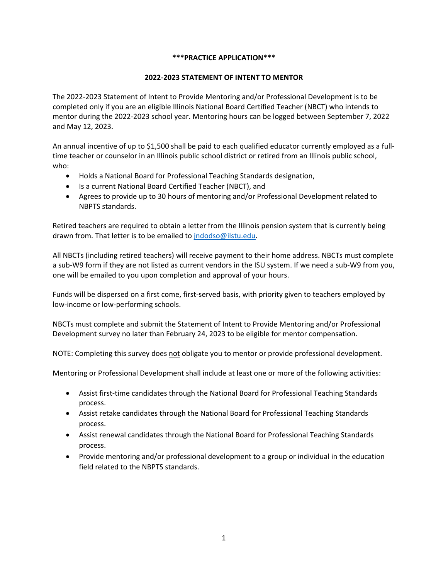### **\*\*\*PRACTICE APPLICATION\*\*\***

### **2022-2023 STATEMENT OF INTENT TO MENTOR**

The 2022-2023 Statement of Intent to Provide Mentoring and/or Professional Development is to be completed only if you are an eligible Illinois National Board Certified Teacher (NBCT) who intends to mentor during the 2022-2023 school year. Mentoring hours can be logged between September 7, 2022 and May 12, 2023.

An annual incentive of up to \$1,500 shall be paid to each qualified educator currently employed as a fulltime teacher or counselor in an Illinois public school district or retired from an Illinois public school, who:

- Holds a National Board for Professional Teaching Standards designation,
- Is a current National Board Certified Teacher (NBCT), and
- Agrees to provide up to 30 hours of mentoring and/or Professional Development related to NBPTS standards.

Retired teachers are required to obtain a letter from the Illinois pension system that is currently being drawn from. That letter is to be emailed to [jndodso@ilstu.edu.](mailto:jndodso@ilstu.edu)

All NBCTs (including retired teachers) will receive payment to their home address. NBCTs must complete a sub-W9 form if they are not listed as current vendors in the ISU system. If we need a sub-W9 from you, one will be emailed to you upon completion and approval of your hours.

Funds will be dispersed on a first come, first-served basis, with priority given to teachers employed by low-income or low-performing schools.

NBCTs must complete and submit the Statement of Intent to Provide Mentoring and/or Professional Development survey no later than February 24, 2023 to be eligible for mentor compensation.

NOTE: Completing this survey does not obligate you to mentor or provide professional development.

Mentoring or Professional Development shall include at least one or more of the following activities:

- Assist first-time candidates through the National Board for Professional Teaching Standards process.
- Assist retake candidates through the National Board for Professional Teaching Standards process.
- Assist renewal candidates through the National Board for Professional Teaching Standards process.
- Provide mentoring and/or professional development to a group or individual in the education field related to the NBPTS standards.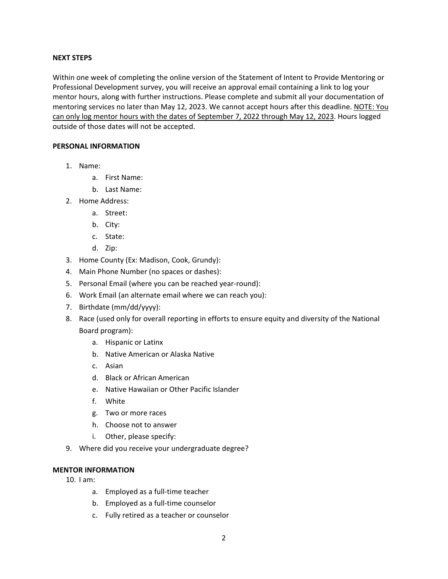#### **NEXT STEPS**

Within one week of completing the online version of the Statement of Intent to Provide Mentoring or Professional Development survey, you will receive an approval email containing a link to log your mentor hours, along with further instructions. Please complete and submit all your documentation of mentoring services no later than May 12, 2023. We cannot accept hours after this deadline. NOTE: You can only log mentor hours with the dates of September 7, 2022 through May 12, 2023. Hours logged outside of those dates will not be accepted.

#### **PERSONAL INFORMATION**

- 1. Name:
	- a. First Name:
	- b. Last Name:
- 2. Home Address:
	- a. Street:
	- b. City:
	- c. State:
	- d. Zip:
- 3. Home County (Ex: Madison, Cook, Grundy):
- 4. Main Phone Number (no spaces or dashes):
- 5. Personal Email (where you can be reached year-round):
- 6. Work Email (an alternate email where we can reach you):
- 7. Birthdate (mm/dd/yyyy):
- 8. Race (used only for overall reporting in efforts to ensure equity and diversity of the National Board program):
	- a. Hispanic or Latinx
	- b. Native American or Alaska Native
	- c. Asian
	- d. Black or African American
	- e. Native Hawaiian or Other Pacific Islander
	- f. White
	- g. Two or more races
	- h. Choose not to answer
	- i. Other, please specify:
- 9. Where did you receive your undergraduate degree?

## **MENTOR INFORMATION**

- 10. I am:
	- a. Employed as a full-time teacher
	- b. Employed as a full-time counselor
	- c. Fully retired as a teacher or counselor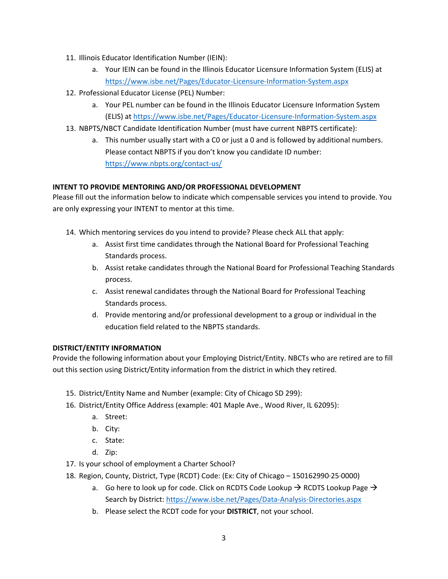- 11. Illinois Educator Identification Number (IEIN):
	- a. Your IEIN can be found in the Illinois Educator Licensure Information System (ELIS) at <https://www.isbe.net/Pages/Educator-Licensure-Information-System.aspx>
- 12. Professional Educator License (PEL) Number:
	- a. Your PEL number can be found in the Illinois Educator Licensure Information System (ELIS) at<https://www.isbe.net/Pages/Educator-Licensure-Information-System.aspx>
- 13. NBPTS/NBCT Candidate Identification Number (must have current NBPTS certificate):
	- a. This number usually start with a C0 or just a 0 and is followed by additional numbers. Please contact NBPTS if you don't know you candidate ID number: <https://www.nbpts.org/contact-us/>

# **INTENT TO PROVIDE MENTORING AND/OR PROFESSIONAL DEVELOPMENT**

Please fill out the information below to indicate which compensable services you intend to provide. You are only expressing your INTENT to mentor at this time.

- 14. Which mentoring services do you intend to provide? Please check ALL that apply:
	- a. Assist first time candidates through the National Board for Professional Teaching Standards process.
	- b. Assist retake candidates through the National Board for Professional Teaching Standards process.
	- c. Assist renewal candidates through the National Board for Professional Teaching Standards process.
	- d. Provide mentoring and/or professional development to a group or individual in the education field related to the NBPTS standards.

### **DISTRICT/ENTITY INFORMATION**

Provide the following information about your Employing District/Entity. NBCTs who are retired are to fill out this section using District/Entity information from the district in which they retired.

- 15. District/Entity Name and Number (example: City of Chicago SD 299):
- 16. District/Entity Office Address (example: 401 Maple Ave., Wood River, IL 62095):
	- a. Street:
	- b. City:
	- c. State:
	- d. Zip:
- 17. Is your school of employment a Charter School?
- 18. Region, County, District, Type (RCDT) Code: (Ex: City of Chicago 150162990·25·0000)
	- a. Go here to look up for code. Click on RCDTS Code Lookup  $\rightarrow$  RCDTS Lookup Page  $\rightarrow$ Search by District:<https://www.isbe.net/Pages/Data-Analysis-Directories.aspx>
	- b. Please select the RCDT code for your **DISTRICT**, not your school.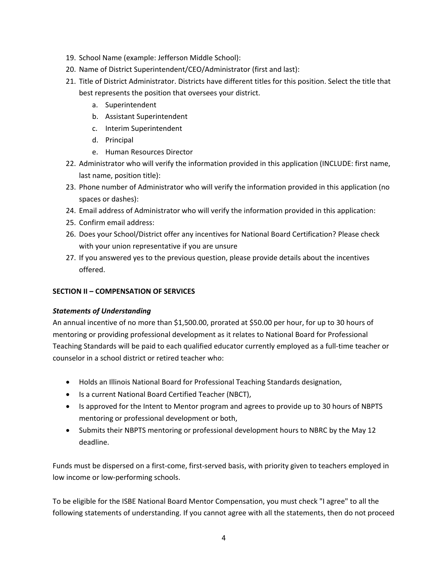- 19. School Name (example: Jefferson Middle School):
- 20. Name of District Superintendent/CEO/Administrator (first and last):
- 21. Title of District Administrator. Districts have different titles for this position. Select the title that best represents the position that oversees your district.
	- a. Superintendent
	- b. Assistant Superintendent
	- c. Interim Superintendent
	- d. Principal
	- e. Human Resources Director
- 22. Administrator who will verify the information provided in this application (INCLUDE: first name, last name, position title):
- 23. Phone number of Administrator who will verify the information provided in this application (no spaces or dashes):
- 24. Email address of Administrator who will verify the information provided in this application:
- 25. Confirm email address:
- 26. Does your School/District offer any incentives for National Board Certification? Please check with your union representative if you are unsure
- 27. If you answered yes to the previous question, please provide details about the incentives offered.

### **SECTION II – COMPENSATION OF SERVICES**

### *Statements of Understanding*

An annual incentive of no more than \$1,500.00, prorated at \$50.00 per hour, for up to 30 hours of mentoring or providing professional development as it relates to National Board for Professional Teaching Standards will be paid to each qualified educator currently employed as a full-time teacher or counselor in a school district or retired teacher who:

- Holds an Illinois National Board for Professional Teaching Standards designation,
- Is a current National Board Certified Teacher (NBCT),
- Is approved for the Intent to Mentor program and agrees to provide up to 30 hours of NBPTS mentoring or professional development or both,
- Submits their NBPTS mentoring or professional development hours to NBRC by the May 12 deadline.

Funds must be dispersed on a first-come, first-served basis, with priority given to teachers employed in low income or low-performing schools.

To be eligible for the ISBE National Board Mentor Compensation, you must check "I agree" to all the following statements of understanding. If you cannot agree with all the statements, then do not proceed